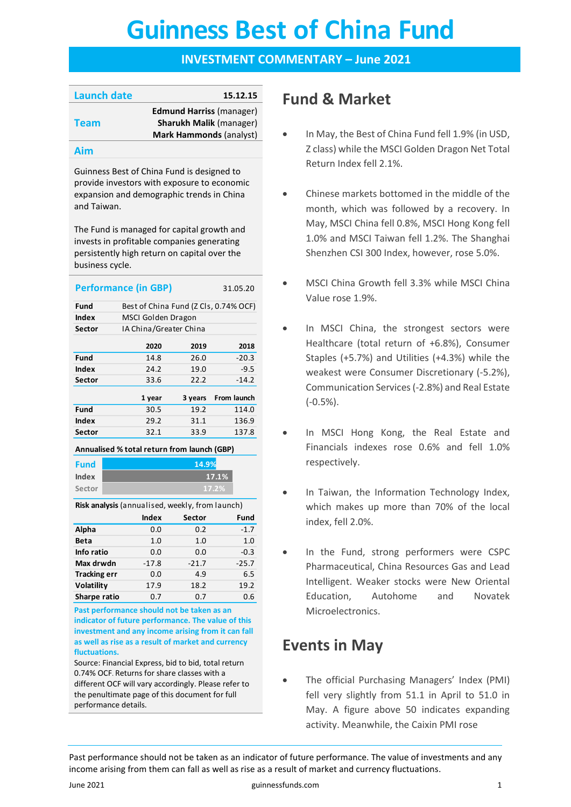# **Guinness Best of China Fund Guinness Best of China Fund**

### **INVESTMENT COMMENTARY – June 2021**

| <b>Launch date</b> | 15.12.15                        |
|--------------------|---------------------------------|
|                    | <b>Edmund Harriss (manager)</b> |
| <b>Team</b>        | <b>Sharukh Malik (manager)</b>  |
|                    | Mark Hammonds (analyst)         |
|                    |                                 |

#### **Aim**

Guinness Best of China Fund is designed to provide investors with exposure to economic expansion and demographic trends in China and Taiwan.

The Fund is managed for capital growth and invests in profitable companies generating persistently high return on capital over the business cycle.

|        | <b>Performance (in GBP)</b>           |         | 31.05.20    |
|--------|---------------------------------------|---------|-------------|
| Fund   | Best of China Fund (Z Cls, 0.74% OCF) |         |             |
| Index  | MSCI Golden Dragon                    |         |             |
| Sector | IA China/Greater China                |         |             |
|        | 2020                                  | 2019    | 2018        |
| Fund   | 14.8                                  | 26.0    | $-20.3$     |
| Index  | 24.2                                  | 19.0    | $-9.5$      |
| Sector | 33.6                                  | 22.2    | $-14.2$     |
|        | 1 year                                | 3 years | From launch |
| Fund   | 30.5                                  | 19.2    | 114.0       |
| Index  | 29.2                                  | 31.1    | 136.9       |
| Sector | 32.1                                  | 33.9    | 137.8       |

#### **Annualised % total return from launch (GBP)**

| <b>Fund</b> | 14.9% |
|-------------|-------|
| Index       | 17.1% |
| Sector      | 17.2% |
|             |       |

**Risk analysis** (annualised, weekly, from launch)

**17.1%**

|                     | <b>Index</b> | Sector  | Fund    |
|---------------------|--------------|---------|---------|
| Alpha               | 0.0          | 0.2     | $-1.7$  |
| <b>Beta</b>         | 1.0          | 1.0     | 1.0     |
| Info ratio          | 0.0          | 0.0     | $-0.3$  |
| Max drwdn           | $-17.8$      | $-21.7$ | $-25.7$ |
| <b>Tracking err</b> | 0.0          | 4.9     | 6.5     |
| Volatility          | 17.9         | 18.2    | 19.2    |
| Sharpe ratio        | 0.7          | 0.7     | 0.6     |

**Past performance should not be taken as an indicator of future performance. The value of this investment and any income arising from it can fall as well as rise as a result of market and currency fluctuations.** 

Source: Financial Express, bid to bid, total return 0.74% OCF. Returns for share classes with a different OCF will vary accordingly. Please refer to the penultimate page of this document for full performance details.

# **Fund & Market**

- In May, the Best of China Fund fell 1.9% (in USD, Z class) while the MSCI Golden Dragon Net Total Return Index fell 2.1%.
- Chinese markets bottomed in the middle of the month, which was followed by a recovery. In May, MSCI China fell 0.8%, MSCI Hong Kong fell 1.0% and MSCI Taiwan fell 1.2%. The Shanghai Shenzhen CSI 300 Index, however, rose 5.0%.
- MSCI China Growth fell 3.3% while MSCI China Value rose 1.9%.
- In MSCI China, the strongest sectors were Healthcare (total return of +6.8%), Consumer Staples (+5.7%) and Utilities (+4.3%) while the weakest were Consumer Discretionary (-5.2%), Communication Services (-2.8%) and Real Estate (-0.5%).
- In MSCI Hong Kong, the Real Estate and Financials indexes rose 0.6% and fell 1.0% respectively.
- In Taiwan, the Information Technology Index, which makes up more than 70% of the local index, fell 2.0%.
- In the Fund, strong performers were CSPC Pharmaceutical, China Resources Gas and Lead Intelligent. Weaker stocks were New Oriental Education, Autohome and Novatek Microelectronics.

# **Events in May**

• The official Purchasing Managers' Index (PMI) fell very slightly from 51.1 in April to 51.0 in May. A figure above 50 indicates expanding activity. Meanwhile, the Caixin PMI rose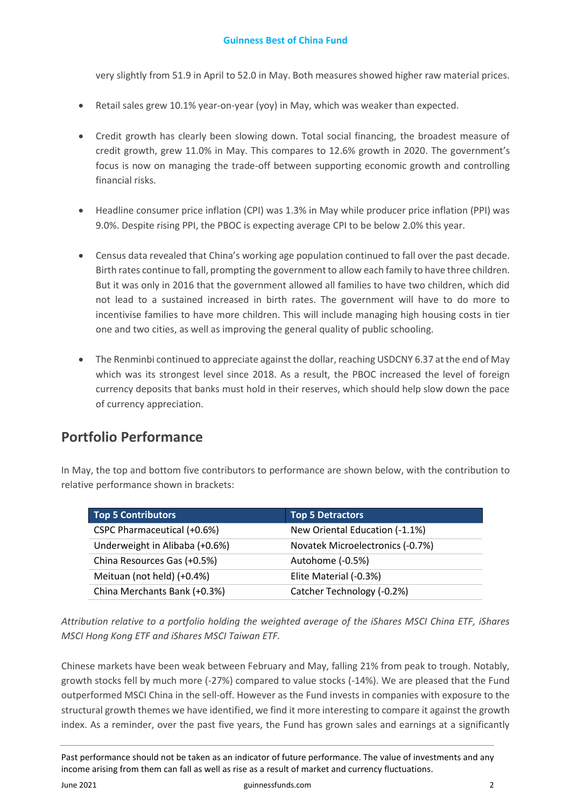### **Guinness Best of China Fund**

very slightly from 51.9 in April to 52.0 in May. Both measures showed higher raw material prices.

- Retail sales grew 10.1% year-on-year (yoy) in May, which was weaker than expected.
- Credit growth has clearly been slowing down. Total social financing, the broadest measure of credit growth, grew 11.0% in May. This compares to 12.6% growth in 2020. The government's focus is now on managing the trade-off between supporting economic growth and controlling financial risks.
- Headline consumer price inflation (CPI) was 1.3% in May while producer price inflation (PPI) was 9.0%. Despite rising PPI, the PBOC is expecting average CPI to be below 2.0% this year.
- Census data revealed that China's working age population continued to fall over the past decade. Birth rates continue to fall, prompting the government to allow each family to have three children. But it was only in 2016 that the government allowed all families to have two children, which did not lead to a sustained increased in birth rates. The government will have to do more to incentivise families to have more children. This will include managing high housing costs in tier one and two cities, as well as improving the general quality of public schooling.
- The Renminbi continued to appreciate against the dollar, reaching USDCNY 6.37 at the end of May which was its strongest level since 2018. As a result, the PBOC increased the level of foreign currency deposits that banks must hold in their reserves, which should help slow down the pace of currency appreciation.

### **Portfolio Performance**

In May, the top and bottom five contributors to performance are shown below, with the contribution to relative performance shown in brackets:

| <b>Top 5 Contributors</b>      | <b>Top 5 Detractors</b>          |
|--------------------------------|----------------------------------|
| CSPC Pharmaceutical (+0.6%)    | New Oriental Education (-1.1%)   |
| Underweight in Alibaba (+0.6%) | Novatek Microelectronics (-0.7%) |
| China Resources Gas (+0.5%)    | Autohome (-0.5%)                 |
| Meituan (not held) (+0.4%)     | Elite Material (-0.3%)           |
| China Merchants Bank (+0.3%)   | Catcher Technology (-0.2%)       |

*Attribution relative to a portfolio holding the weighted average of the iShares MSCI China ETF, iShares MSCI Hong Kong ETF and iShares MSCI Taiwan ETF.* 

Chinese markets have been weak between February and May, falling 21% from peak to trough. Notably, growth stocks fell by much more (-27%) compared to value stocks (-14%). We are pleased that the Fund outperformed MSCI China in the sell-off. However as the Fund invests in companies with exposure to the structural growth themes we have identified, we find it more interesting to compare it against the growth index. As a reminder, over the past five years, the Fund has grown sales and earnings at a significantly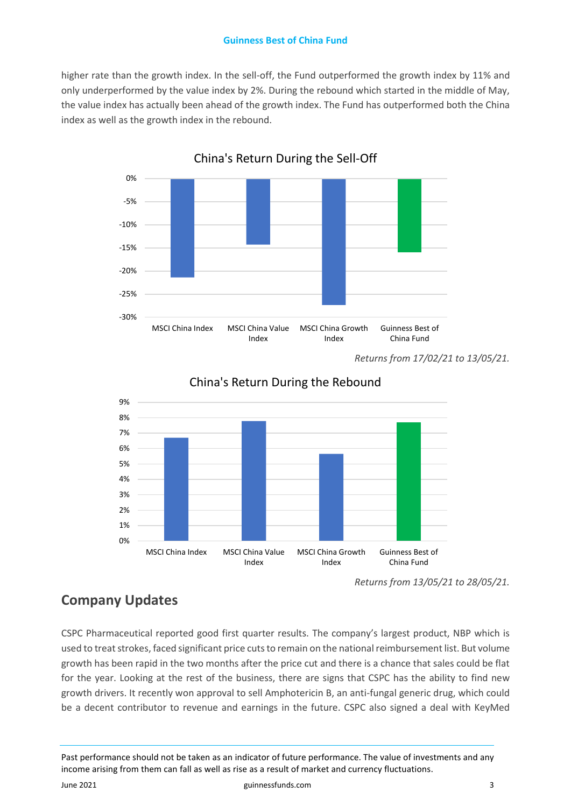### **Guinness Best of China Fund**

higher rate than the growth index. In the sell-off, the Fund outperformed the growth index by 11% and only underperformed by the value index by 2%. During the rebound which started in the middle of May, the value index has actually been ahead of the growth index. The Fund has outperformed both the China index as well as the growth index in the rebound.



China's Return During the Sell-Off

*Returns from 17/02/21 to 13/05/21.*



China's Return During the Rebound

## **Company Updates**

CSPC Pharmaceutical reported good first quarter results. The company's largest product, NBP which is used to treat strokes, faced significant price cuts to remain on the national reimbursement list. But volume growth has been rapid in the two months after the price cut and there is a chance that sales could be flat for the year. Looking at the rest of the business, there are signs that CSPC has the ability to find new growth drivers. It recently won approval to sell Amphotericin B, an anti-fungal generic drug, which could be a decent contributor to revenue and earnings in the future. CSPC also signed a deal with KeyMed

Past performance should not be taken as an indicator of future performance. The value of investments and any income arising from them can fall as well as rise as a result of market and currency fluctuations.

June 2021 guinnessfunds.com 3

*Returns from 13/05/21 to 28/05/21.*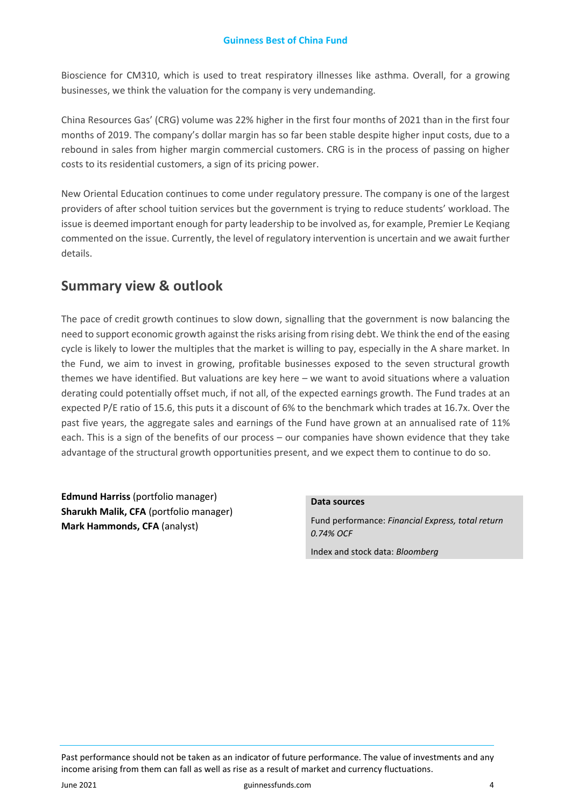Bioscience for CM310, which is used to treat respiratory illnesses like asthma. Overall, for a growing businesses, we think the valuation for the company is very undemanding.

China Resources Gas' (CRG) volume was 22% higher in the first four months of 2021 than in the first four months of 2019. The company's dollar margin has so far been stable despite higher input costs, due to a rebound in sales from higher margin commercial customers. CRG is in the process of passing on higher costs to its residential customers, a sign of its pricing power.

New Oriental Education continues to come under regulatory pressure. The company is one of the largest providers of after school tuition services but the government is trying to reduce students' workload. The issue is deemed important enough for party leadership to be involved as, for example, Premier Le Keqiang commented on the issue. Currently, the level of regulatory intervention is uncertain and we await further details.

### **Summary view & outlook**

The pace of credit growth continues to slow down, signalling that the government is now balancing the need to support economic growth against the risks arising from rising debt. We think the end of the easing cycle is likely to lower the multiples that the market is willing to pay, especially in the A share market. In the Fund, we aim to invest in growing, profitable businesses exposed to the seven structural growth themes we have identified. But valuations are key here – we want to avoid situations where a valuation derating could potentially offset much, if not all, of the expected earnings growth. The Fund trades at an expected P/E ratio of 15.6, this puts it a discount of 6% to the benchmark which trades at 16.7x. Over the past five years, the aggregate sales and earnings of the Fund have grown at an annualised rate of 11% each. This is a sign of the benefits of our process – our companies have shown evidence that they take advantage of the structural growth opportunities present, and we expect them to continue to do so.

**Edmund Harriss** (portfolio manager) **Sharukh Malik, CFA** (portfolio manager) **Mark Hammonds, CFA** (analyst)

#### **Data sources**

Fund performance: *Financial Express, total return 0.74% OCF*

Index and stock data: *Bloomberg*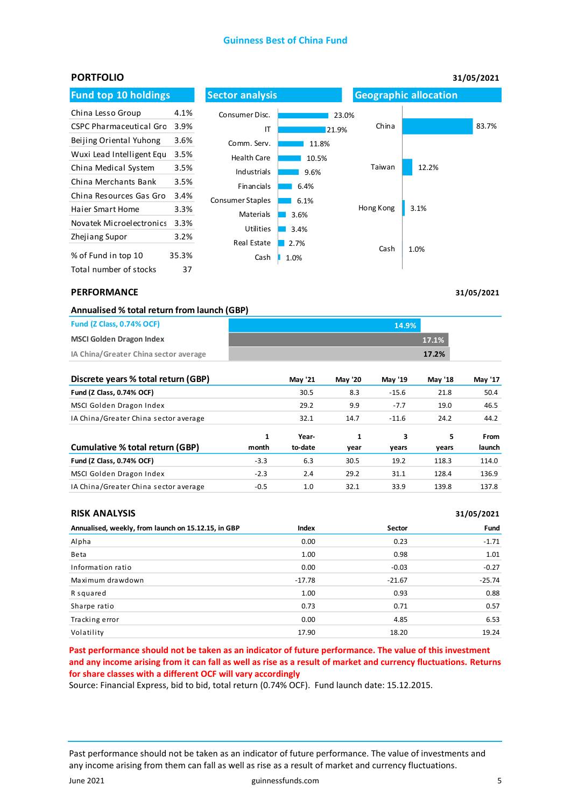#### **Guinness Best of China Fund**

| <b>PORTFOLIO</b>               |       |                         |       |           |                              | 31/05/2021 |
|--------------------------------|-------|-------------------------|-------|-----------|------------------------------|------------|
| <b>Fund top 10 holdings</b>    |       | <b>Sector analysis</b>  |       |           | <b>Geographic allocation</b> |            |
| China Lesso Group              | 4.1%  | Consumer Disc.          |       | 23.0%     |                              |            |
| <b>CSPC Pharmaceutical Gro</b> | 3.9%  | IT                      | 21.9% | China     |                              | 83.7%      |
| Beijing Oriental Yuhong        | 3.6%  | Comm. Serv.             | 11.8% |           |                              |            |
| Wuxi Lead Intelligent Equ      | 3.5%  | <b>Health Care</b>      | 10.5% |           |                              |            |
| China Medical System           | 3.5%  | Industrials             | 9.6%  | Taiwan    | 12.2%                        |            |
| China Merchants Bank           | 3.5%  | Financials              | 6.4%  |           |                              |            |
| China Resources Gas Gro        | 3.4%  | <b>Consumer Staples</b> | 6.1%  |           |                              |            |
| <b>Haier Smart Home</b>        | 3.3%  | Materials               | 3.6%  | Hong Kong | 3.1%                         |            |
| Novatek Microelectronics       | 3.3%  | <b>Utilities</b>        | 3.4%  |           |                              |            |
| Zhejiang Supor                 | 3.2%  | Real Estate             | 2.7%  |           |                              |            |
| % of Fund in top 10            | 35.3% | Cash                    | 1.0%  | Cash      | 1.0%                         |            |
| Total number of stocks         | 37    |                         |       |           |                              |            |

#### **PERFORMANCE**

**31/05/2021**

|                         | Annualised % total return from launch (GBP) |  |
|-------------------------|---------------------------------------------|--|
| $-1/4$ $-1$ $-2$ $-1/4$ |                                             |  |

| <b>Fund (Z Class, 0.74% OCF)</b>      | 14.9% |
|---------------------------------------|-------|
| <b>MSCI Golden Dragon Index</b>       | 17.1% |
| IA China/Greater China sector average | 17.2% |

| Discrete years % total return (GBP)   |            | <b>May '21</b>   | <b>May '20</b> | May '19    | May '18    | May '17        |
|---------------------------------------|------------|------------------|----------------|------------|------------|----------------|
| Fund (Z Class, 0.74% OCF)             |            | 30.5             | 8.3            | $-15.6$    | 21.8       | 50.4           |
| MSCI Golden Dragon Index              |            | 29.2             | 9.9            | $-7.7$     | 19.0       | 46.5           |
| IA China/Greater China sector average |            | 32.1             | 14.7           | $-11.6$    | 24.2       | 44.2           |
| Cumulative % total return (GBP)       | 1<br>month | Year-<br>to-date | 1<br>vear      | 3<br>vears | 5<br>vears | From<br>launch |
| Fund (Z Class, 0.74% OCF)             | $-3.3$     | 6.3              | 30.5           | 19.2       | 118.3      | 114.0          |
| MSCI Golden Dragon Index              | $-2.3$     | 2.4              | 29.2           | 31.1       | 128.4      | 136.9          |
| IA China/Greater China sector average | $-0.5$     | 1.0              | 32.1           | 33.9       | 139.8      | 137.8          |

|  | <b>RISK ANALYSIS</b> |
|--|----------------------|
|  |                      |

| <b>RISK ANALYSIS</b>                                |          |          | 31/05/2021 |
|-----------------------------------------------------|----------|----------|------------|
| Annualised, weekly, from launch on 15.12.15, in GBP | Index    | Sector   | Fund       |
| Alpha                                               | 0.00     | 0.23     | $-1.71$    |
| Beta                                                | 1.00     | 0.98     | 1.01       |
| Information ratio                                   | 0.00     | $-0.03$  | $-0.27$    |
| Maximum drawdown                                    | $-17.78$ | $-21.67$ | $-25.74$   |
| R squared                                           | 1.00     | 0.93     | 0.88       |
| Sharpe ratio                                        | 0.73     | 0.71     | 0.57       |
| Tracking error                                      | 0.00     | 4.85     | 6.53       |
| Volatility                                          | 17.90    | 18.20    | 19.24      |

**Past performance should not be taken as an indicator of future performance. The value of this investment and any income arising from it can fall as well as rise as a result of market and currency fluctuations. Returns for share classes with a different OCF will vary accordingly**

Source: Financial Express, bid to bid, total return (0.74% OCF). Fund launch date: 15.12.2015.